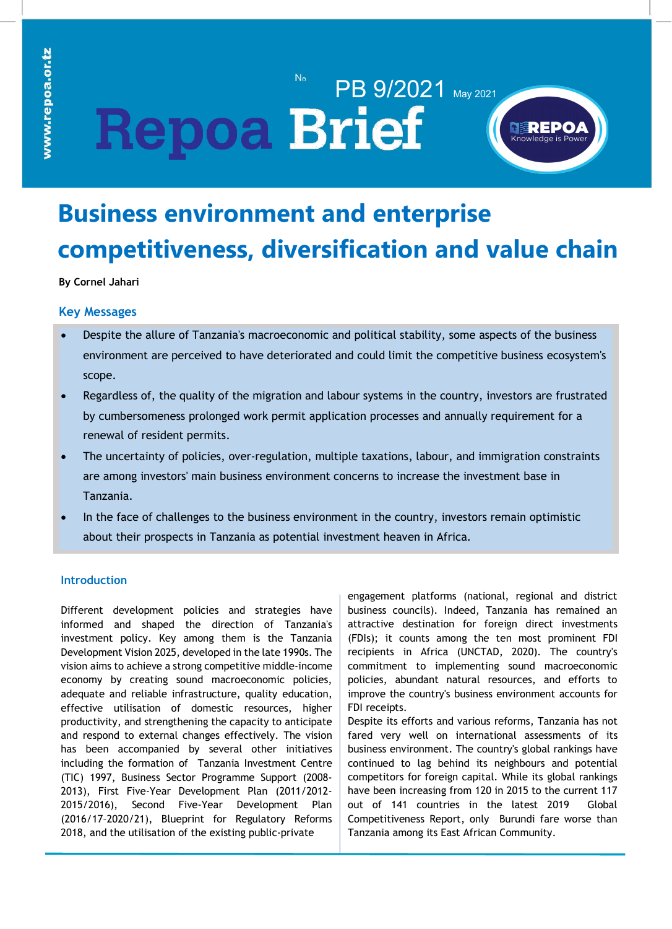# PB 9/2021 May 2021 **Repoa Brief**



## **Business environment and enterprise competitiveness, diversification and value chain**

### **By Cornel Jahari upgrading**

#### **Key Messages**

- Despite the allure of Tanzania's macroeconomic and political stability, some aspects of the business environment are perceived to have deteriorated and could limit the competitive business ecosystem's scope.
- Regardless of, the quality of the migration and labour systems in the country, investors are frustrated by cumbersomeness prolonged work permit application processes and annually requirement for a renewal of resident permits.
- The uncertainty of policies, over-regulation, multiple taxations, labour, and immigration constraints are among investors' main business environment concerns to increase the investment base in Tanzania.
- In the face of challenges to the business environment in the country, investors remain optimistic about their prospects in Tanzania as potential investment heaven in Africa.

#### **Introduction**

Different development policies and strategies have informed and shaped the direction of Tanzania's investment policy. Key among them is the Tanzania Development Vision 2025, developed in the late 1990s. The vision aims to achieve a strong competitive middle-income economy by creating sound macroeconomic policies, adequate and reliable infrastructure, quality education, effective utilisation of domestic resources, higher productivity, and strengthening the capacity to anticipate and respond to external changes effectively. The vision has been accompanied by several other initiatives including the formation of Tanzania Investment Centre (TIC) 1997, Business Sector Programme Support (2008- 2013), First Five-Year Development Plan (2011/2012- 2015/2016), Second Five-Year Development Plan (2016/17–2020/21), Blueprint for Regulatory Reforms 2018, and the utilisation of the existing public-private

engagement platforms (national, regional and district business councils). Indeed, Tanzania has remained an attractive destination for foreign direct investments (FDIs); it counts among the ten most prominent FDI recipients in Africa (UNCTAD, 2020). The country's commitment to implementing sound macroeconomic policies, abundant natural resources, and efforts to improve the country's business environment accounts for FDI receipts.

Despite its efforts and various reforms, Tanzania has not fared very well on international assessments of its business environment. The country's global rankings have continued to lag behind its neighbours and potential competitors for foreign capital. While its global rankings have been increasing from 120 in 2015 to the current 117 out of 141 countries in the latest 2019 Global Competitiveness Report, only Burundi fare worse than Tanzania among its East African Community.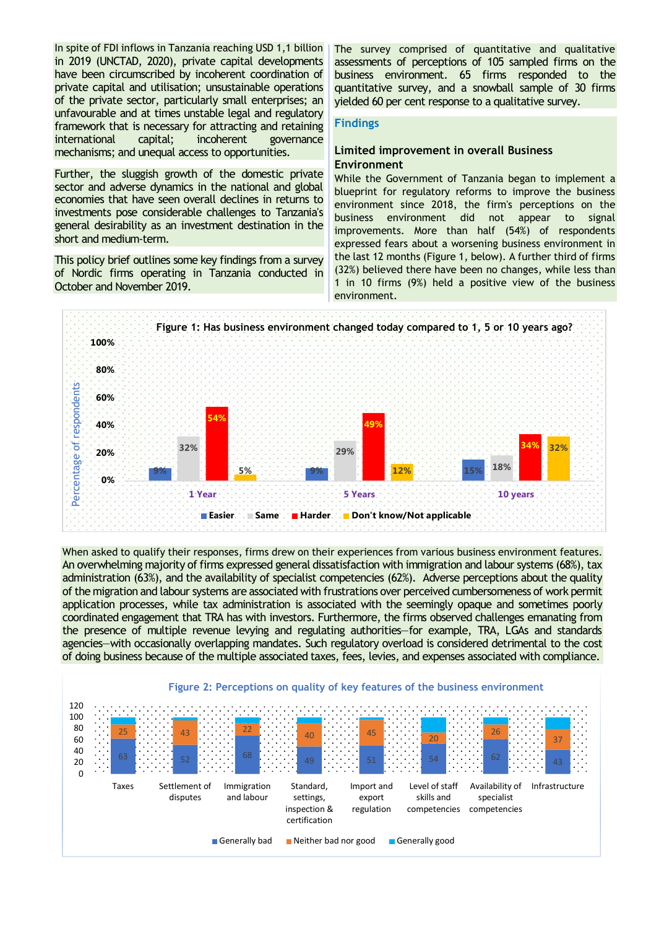In spite of FDI inflows in Tanzania reaching USD 1,1 billion in 2019 (UNCTAD, 2020), private capital developments have been circumscribed by incoherent coordination of private capital and utilisation; unsustainable operations of the private sector, particularly small enterprises; an unfavourable and at times unstable legal and regulatory framework that is necessary for attracting and retaining<br>international capital; incoherent governance international capital; incoherent mechanisms; and unequal access to opportunities.

Further, the sluggish growth of the domestic private sector and adverse dynamics in the national and global economies that have seen overall declines in returns to investments pose considerable challenges to Tanzania's general desirability as an investment destination in the short and medium-term.

This policy brief outlines some key findings from a survey of Nordic firms operating in Tanzania conducted in October and November 2019.

The survey comprised of quantitative and qualitative assessments of perceptions of 105 sampled firms on the business environment. 65 firms responded to the quantitative survey, and a snowball sample of 30 firms yielded 60 per cent response to a qualitative survey.

#### **Findings**

#### **Limited improvement in overall Business Environment**

While the Government of Tanzania began to implement a blueprint for regulatory reforms to improve the business environment since 2018, the firm's perceptions on the business environment did not appear to signal improvements. More than half (54%) of respondents expressed fears about a worsening business environment in the last 12 months (Figure 1, below). A further third of firms (32%) believed there have been no changes, while less than 1 in 10 firms (9%) held a positive view of the business environment.



When asked to qualify their responses, firms drew on their experiences from various business environment features. An overwhelming majority of firms expressed general dissatisfaction with immigration and labour systems (68%), tax administration (63%), and the availability of specialist competencies (62%). Adverse perceptions about the quality of the migration and labour systems are associated with frustrations over perceived cumbersomeness of work permit application processes, while tax administration is associated with the seemingly opaque and sometimes poorly coordinated engagement that TRA has with investors. Furthermore, the firms observed challenges emanating from the presence of multiple revenue levying and regulating authorities—for example, TRA, LGAs and standards agencies—with occasionally overlapping mandates. Such regulatory overload is considered detrimental to the cost of doing business because of the multiple associated taxes, fees, levies, and expenses associated with compliance.

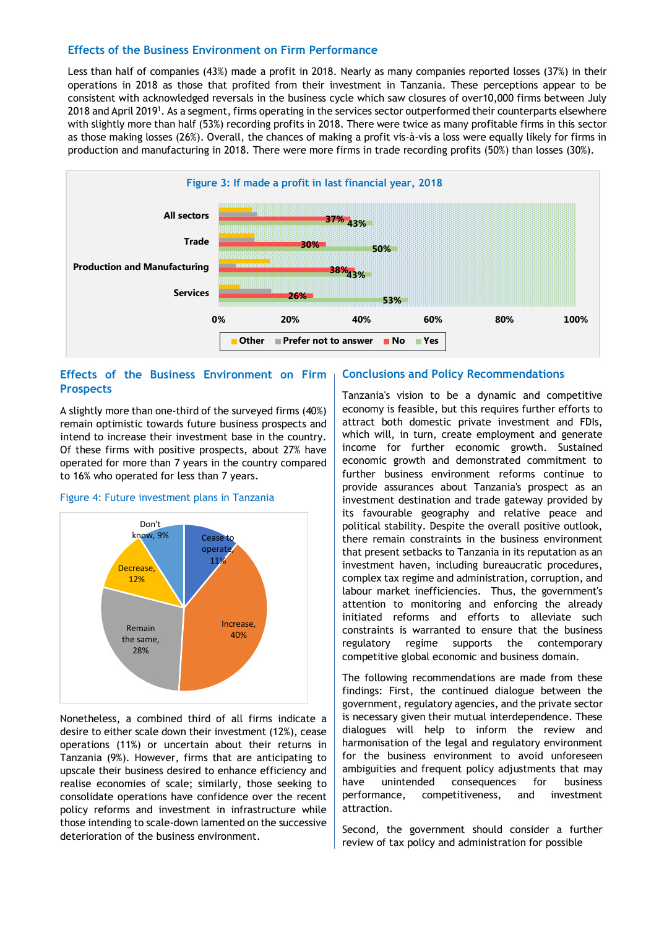#### **Effects of the Business Environment on Firm Performance**

Less than half of companies (43%) made a profit in 2018. Nearly as many companies reported losses (37%) in their operations in 2018 as those that profited from their investment in Tanzania. These perceptions appear to be consistent with acknowledged reversals in the business cycle which saw closures of over10,000 firms between July 2018 and April 2019<sup>1</sup>. As a segment, firms operating in the services sector outperformed their counterparts elsewhere with slightly more than half (53%) recording profits in 2018. There were twice as many profitable firms in this sector as those making losses (26%). Overall, the chances of making a profit vis-à-vis a loss were equally likely for firms in production and manufacturing in 2018. There were more firms in trade recording profits (50%) than losses (30%).



#### **Effects of the Business Environment on Firm Prospects**

A slightly more than one-third of the surveyed firms (40%) remain optimistic towards future business prospects and intend to increase their investment base in the country. Of these firms with positive prospects, about 27% have operated for more than 7 years in the country compared to 16% who operated for less than 7 years.



#### Figure 4: Future investment plans in Tanzania

Nonetheless, a combined third of all firms indicate a desire to either scale down their investment (12%), cease operations (11%) or uncertain about their returns in Tanzania (9%). However, firms that are anticipating to upscale their business desired to enhance efficiency and realise economies of scale; similarly, those seeking to consolidate operations have confidence over the recent policy reforms and investment in infrastructure while those intending to scale-down lamented on the successive deterioration of the business environment.

#### **Conclusions and Policy Recommendations**

Tanzania's vision to be a dynamic and competitive economy is feasible, but this requires further efforts to attract both domestic private investment and FDIs, which will, in turn, create employment and generate income for further economic growth. Sustained economic growth and demonstrated commitment to further business environment reforms continue to provide assurances about Tanzania's prospect as an investment destination and trade gateway provided by its favourable geography and relative peace and political stability. Despite the overall positive outlook, there remain constraints in the business environment that present setbacks to Tanzania in its reputation as an investment haven, including bureaucratic procedures, complex tax regime and administration, corruption, and labour market inefficiencies. Thus, the government's attention to monitoring and enforcing the already initiated reforms and efforts to alleviate such constraints is warranted to ensure that the business regulatory regime supports the contemporary competitive global economic and business domain.

The following recommendations are made from these findings: First, the continued dialogue between the government, regulatory agencies, and the private sector is necessary given their mutual interdependence. These dialogues will help to inform the review and harmonisation of the legal and regulatory environment for the business environment to avoid unforeseen ambiguities and frequent policy adjustments that may have unintended consequences for business performance, competitiveness, and investment attraction.

Second, the government should consider a further review of tax policy and administration for possible